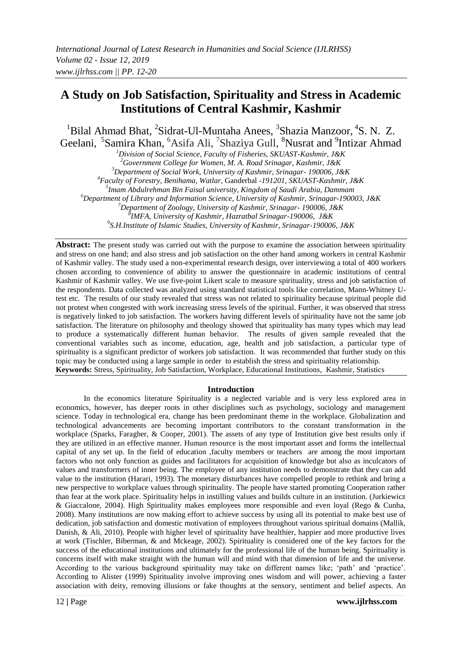# **A Study on Job Satisfaction, Spirituality and Stress in Academic Institutions of Central Kashmir, Kashmir**

<sup>1</sup>Bilal Ahmad Bhat, <sup>2</sup>Sidrat-Ul-Muntaha Anees, <sup>3</sup>Shazia Manzoor, <sup>4</sup>S. N. Z. Geelani, <sup>5</sup>Samira Khan, <sup>6</sup>Asifa Ali, <sup>7</sup>Shaziya Gull, <sup>8</sup>Nusrat and <sup>9</sup>Intizar Ahmad

*<sup>1</sup>Division of Social Science, Faculty of Fisheries, SKUAST-Kashmir, J&K*

*<sup>2</sup>Government College for Women, M. A. Road Srinagar, Kashmir, J&K*

*<sup>3</sup>Department of Social Work, University of Kashmir, Srinagar- 190006, J&K*

*<sup>4</sup>Faculty of Forestry, Benihama, Watlar,* Ganderbal *-191201, SKUAST-Kashmir, J&K*

*5 Imam Abdulrehman Bin Faisal university, Kingdom of Saudi Arabia, Dammam*

*<sup>6</sup>Department of Library and Information Science, University of Kashmir, Srinagar-190003, J&K*

*<sup>7</sup>Department of Zoology, University of Kashmir, Srinagar- 190006, J&K*

*8 IMFA, University of Kashmir, Hazratbal Srinagar-190006, J&K*

*9 S.H.Institute of Islamic Studies, University of Kashmir, Srinagar-190006, J&K*

**Abstract:** The present study was carried out with the purpose to examine the association between spirituality and stress on one hand; and also stress and job satisfaction on the other hand among workers in central Kashmir of Kashmir valley. The study used a non-experimental research design, over interviewing a total of 400 workers chosen according to convenience of ability to answer the questionnaire in academic institutions of central Kashmir of Kashmir valley. We use five-point Likert scale to measure spirituality, stress and job satisfaction of the respondents. Data collected was analyzed using standard statistical tools like correlation, Mann-Whitney Utest etc. The results of our study revealed that stress was not related to spirituality because spiritual people did not protest when congested with work increasing stress levels of the spiritual. Further, it was observed that stress is negatively linked to job satisfaction. The workers having different levels of spirituality have not the same job satisfaction. The literature on philosophy and theology showed that spirituality has many types which may lead to produce a systematically different human behavior. The results of given sample revealed that the conventional variables such as income, education, age, health and job satisfaction, a particular type of spirituality is a significant predictor of workers job satisfaction. It was recommended that further study on this topic may be conducted using a large sample in order to establish the stress and spirituality relationship. **Keywords:** Stress, Spirituality, Job Satisfaction, Workplace, Educational Institutions, Kashmir, Statistics

## **Introduction**

In the economics literature Spirituality is a neglected variable and is very less explored area in economics, however, has deeper roots in other disciplines such as psychology, sociology and management science. Today in technological era, change has been predominant theme in the workplace. Globalization and technological advancements are becoming important contributors to the constant transformation in the workplace (Sparks, Faragher, & Cooper, 2001). The assets of any type of Institution give best results only if they are utilized in an effective manner. Human resource is the most important asset and forms the intellectual capital of any set up. In the field of education ,faculty members or teachers are among the most important factors who not only function as guides and facilitators for acquisition of knowledge but also as inculcators of values and transformers of inner being. The employee of any institution needs to demonstrate that they can add value to the institution (Harari, 1993). The monetary disturbances have compelled people to rethink and bring a new perspective to workplace values through spirituality. The people have started promoting Cooperation rather than fear at the work place. Spirituality helps in instilling values and builds culture in an institution. (Jurkiewicz & Giaccalone, 2004). High Spirituality makes employees more responsible and even loyal (Rego & Cunha, 2008). Many institutions are now making effort to achieve success by using all its potential to make best use of dedication, job satisfaction and domestic motivation of employees throughout various spiritual domains (Mallik, Danish, & Ali, 2010). People with higher level of spirituality have healthier, happier and more productive lives at work (Tischler, Biberman, & and Mckeage, 2002). Spirituality is considered one of the key factors for the success of the educational institutions and ultimately for the professional life of the human being. Spirituality is concerns itself with make straight with the human will and mind with that dimension of life and the universe. According to the various background spirituality may take on different names like; 'path' and 'practice'. According to Alister (1999) Spirituality involve improving ones wisdom and will power, achieving a faster association with deity, removing illusions or fake thoughts at the sensory, sentiment and belief aspects. An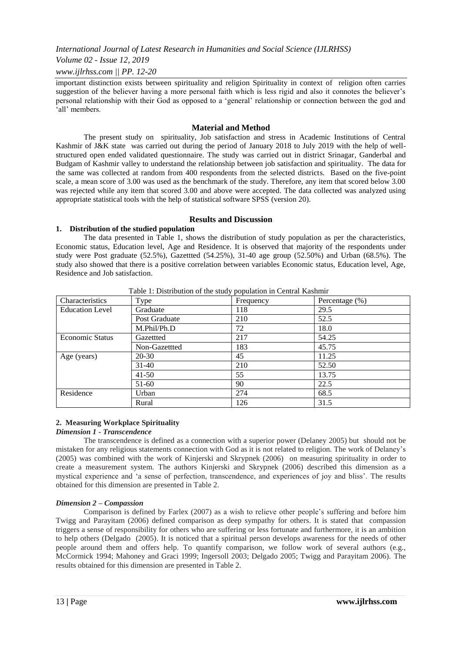## *Volume 02 - Issue 12, 2019*

## *www.ijlrhss.com || PP. 12-20*

important distinction exists between spirituality and religion Spirituality in context of religion often carries suggestion of the believer having a more personal faith which is less rigid and also it connotes the believer"s personal relationship with their God as opposed to a "general" relationship or connection between the god and 'all' members.

## **Material and Method**

The present study on spirituality, Job satisfaction and stress in Academic Institutions of Central Kashmir of J&K state was carried out during the period of January 2018 to July 2019 with the help of wellstructured open ended validated questionnaire. The study was carried out in district Srinagar, Ganderbal and Budgam of Kashmir valley to understand the relationship between job satisfaction and spirituality. The data for the same was collected at random from 400 respondents from the selected districts. Based on the five-point scale, a mean score of 3.00 was used as the benchmark of the study. Therefore, any item that scored below 3.00 was rejected while any item that scored 3.00 and above were accepted. The data collected was analyzed using appropriate statistical tools with the help of statistical software SPSS (version 20).

#### **Results and Discussion**

## **1. Distribution of the studied population**

The data presented in Table 1, shows the distribution of study population as per the characteristics, Economic status, Education level, Age and Residence. It is observed that majority of the respondents under study were Post graduate (52.5%), Gazettted (54.25%), 31-40 age group (52.50%) and Urban (68.5%). The study also showed that there is a positive correlation between variables Economic status, Education level, Age, Residence and Job satisfaction.

| Table 1. Distribution of the study population in Central Kashmin<br>Characteristics |               |           |                   |  |  |
|-------------------------------------------------------------------------------------|---------------|-----------|-------------------|--|--|
|                                                                                     | Type          | Frequency | Percentage $(\%)$ |  |  |
| <b>Education Level</b>                                                              | Graduate      | 118       | 29.5              |  |  |
|                                                                                     | Post Graduate | 210       | 52.5              |  |  |
|                                                                                     | M.Phil/Ph.D   | 72        | 18.0              |  |  |
| <b>Economic Status</b>                                                              | Gazettted     | 217       | 54.25             |  |  |
|                                                                                     | Non-Gazettted | 183       | 45.75             |  |  |
| Age (years)                                                                         | $20 - 30$     | 45        | 11.25             |  |  |
|                                                                                     | $31-40$       | 210       | 52.50             |  |  |
|                                                                                     | $41-50$       | 55        | 13.75             |  |  |
|                                                                                     | $51-60$       | 90        | 22.5              |  |  |
| Residence                                                                           | Urban         | 274       | 68.5              |  |  |
|                                                                                     | Rural         | 126       | 31.5              |  |  |

Table 1: Distribution of the study population in Central Kashmir

## **2. Measuring Workplace Spirituality**

#### *Dimension 1 - Transcendence*

The transcendence is defined as a connection with a superior power (Delaney 2005) but should not be mistaken for any religious statements connection with God as it is not related to religion. The work of Delaney"s (2005) was combined with the work of Kinjerski and Skrypnek (2006) on measuring spirituality in order to create a measurement system. The authors Kinjerski and Skrypnek (2006) described this dimension as a mystical experience and "a sense of perfection, transcendence, and experiences of joy and bliss". The results obtained for this dimension are presented in Table 2.

#### *Dimension 2 – Compassion*

Comparison is defined by Farlex (2007) as a wish to relieve other people"s suffering and before him Twigg and Parayitam (2006) defined comparison as deep sympathy for others. It is stated that compassion triggers a sense of responsibility for others who are suffering or less fortunate and furthermore, it is an ambition to help others (Delgado (2005). It is noticed that a spiritual person develops awareness for the needs of other people around them and offers help. To quantify comparison, we follow work of several authors (e.g., McCormick 1994; Mahoney and Graci 1999; Ingersoll 2003; Delgado 2005; Twigg and Parayitam 2006). The results obtained for this dimension are presented in Table 2.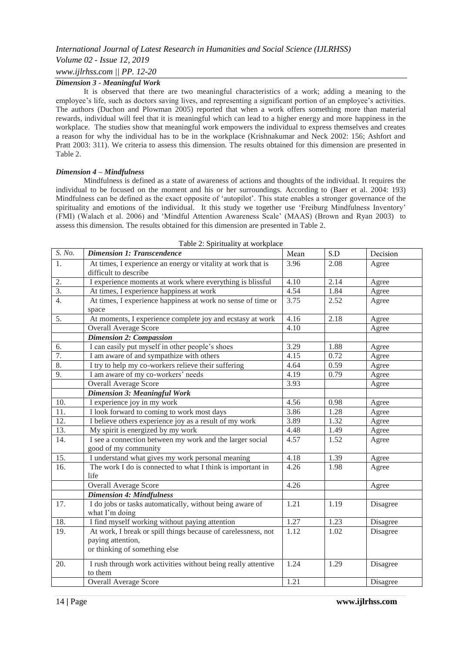## *Volume 02 - Issue 12, 2019*

## *www.ijlrhss.com || PP. 12-20*

#### *Dimension 3 - Meaningful Work*

It is observed that there are two meaningful characteristics of a work; adding a meaning to the employee's life, such as doctors saving lives, and representing a significant portion of an employee's activities. The authors (Duchon and Plowman 2005) reported that when a work offers something more than material rewards, individual will feel that it is meaningful which can lead to a higher energy and more happiness in the workplace. The studies show that meaningful work empowers the individual to express themselves and creates a reason for why the individual has to be in the workplace (Krishnakumar and Neck 2002: 156; Ashfort and Pratt 2003: 311). We criteria to assess this dimension. The results obtained for this dimension are presented in Table 2.

#### *Dimension 4 – Mindfulness*

Mindfulness is defined as a state of awareness of actions and thoughts of the individual. It requires the individual to be focused on the moment and his or her surroundings. According to (Baer et al. 2004: 193) Mindfulness can be defined as the exact opposite of "autopilot". This state enables a stronger governance of the spirituality and emotions of the individual. It this study we together use 'Freiburg Mindfulness Inventory' (FMI) (Walach et al. 2006) and "Mindful Attention Awareness Scale" (MAAS) (Brown and Ryan 2003) to assess this dimension. The results obtained for this dimension are presented in Table 2.

| S. No.            | <b>Dimension 1: Transcendence</b>                                                     | Mean | S.D  | Decision        |
|-------------------|---------------------------------------------------------------------------------------|------|------|-----------------|
| 1.                | At times, I experience an energy or vitality at work that is<br>difficult to describe | 3.96 | 2.08 | Agree           |
| 2.                | I experience moments at work where everything is blissful                             | 4.10 | 2.14 | Agree           |
| 3.                | At times, I experience happiness at work                                              | 4.54 | 1.84 | Agree           |
| 4.                | At times, I experience happiness at work no sense of time or<br>space                 | 3.75 | 2.52 | Agree           |
| 5.                | At moments, I experience complete joy and ecstasy at work                             | 4.16 | 2.18 | Agree           |
|                   | <b>Overall Average Score</b>                                                          | 4.10 |      | Agree           |
|                   | <b>Dimension 2: Compassion</b>                                                        |      |      |                 |
| 6.                | I can easily put myself in other people's shoes                                       | 3.29 | 1.88 | Agree           |
| 7.                | I am aware of and sympathize with others                                              | 4.15 | 0.72 | Agree           |
| 8.                | I try to help my co-workers relieve their suffering                                   | 4.64 | 0.59 | Agree           |
| 9.                | I am aware of my co-workers' needs                                                    | 4.19 | 0.79 | Agree           |
|                   | <b>Overall Average Score</b>                                                          | 3.93 |      | Agree           |
|                   | <b>Dimension 3: Meaningful Work</b>                                                   |      |      |                 |
| 10.               | I experience joy in my work                                                           | 4.56 | 0.98 | Agree           |
| $\overline{11}$ . | I look forward to coming to work most days                                            | 3.86 | 1.28 | Agree           |
| $\overline{12}$ . | I believe others experience joy as a result of my work                                | 3.89 | 1.32 | Agree           |
| 13.               | My spirit is energized by my work                                                     | 4.48 | 1.49 | Agree           |
| 14.               | I see a connection between my work and the larger social<br>good of my community      | 4.57 | 1.52 | Agree           |
| 15.               | I understand what gives my work personal meaning                                      | 4.18 | 1.39 | Agree           |
| 16.               | The work I do is connected to what I think is important in<br>life                    | 4.26 | 1.98 | Agree           |
|                   | <b>Overall Average Score</b>                                                          | 4.26 |      | Agree           |
|                   | <b>Dimension 4: Mindfulness</b>                                                       |      |      |                 |
| 17.               | I do jobs or tasks automatically, without being aware of<br>what I'm doing            | 1.21 | 1.19 | Disagree        |
| 18.               | I find myself working without paying attention                                        | 1.27 | 1.23 | Disagree        |
| 19.               | At work, I break or spill things because of carelessness, not                         | 1.12 | 1.02 | <b>Disagree</b> |
|                   | paying attention,                                                                     |      |      |                 |
|                   | or thinking of something else                                                         |      |      |                 |
| 20.               | I rush through work activities without being really attentive<br>to them              | 1.24 | 1.29 | Disagree        |
|                   | Overall Average Score                                                                 | 1.21 |      | Disagree        |
|                   |                                                                                       |      |      |                 |

Table 2: Spirituality at workplace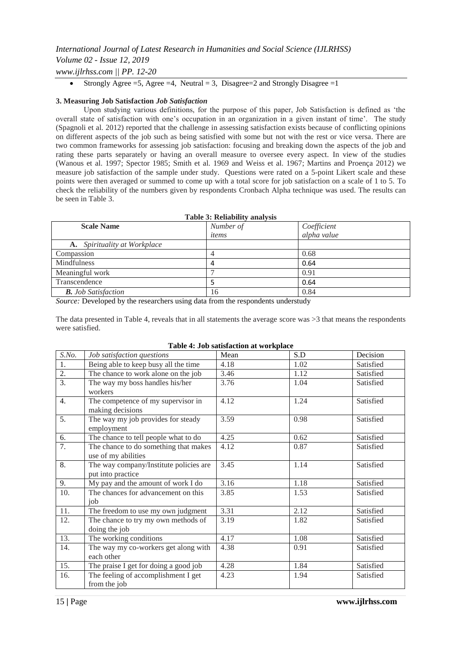## *International Journal of Latest Research in Humanities and Social Science (IJLRHSS) Volume 02 - Issue 12, 2019 www.ijlrhss.com || PP. 12-20*

• Strongly Agree =5, Agree =4, Neutral = 3, Disagree = 2 and Strongly Disagree = 1

## **3. Measuring Job Satisfaction** *Job Satisfaction*

Upon studying various definitions, for the purpose of this paper, Job Satisfaction is defined as "the overall state of satisfaction with one"s occupation in an organization in a given instant of time". The study (Spagnoli et al. 2012) reported that the challenge in assessing satisfaction exists because of conflicting opinions on different aspects of the job such as being satisfied with some but not with the rest or vice versa. There are two common frameworks for assessing job satisfaction: focusing and breaking down the aspects of the job and rating these parts separately or having an overall measure to oversee every aspect. In view of the studies (Wanous et al. 1997; Spector 1985; Smith et al. 1969 and Weiss et al. 1967; Martins and Proença 2012) we measure job satisfaction of the sample under study. Questions were rated on a 5-point Likert scale and these points were then averaged or summed to come up with a total score for job satisfaction on a scale of 1 to 5. To check the reliability of the numbers given by respondents Cronbach Alpha technique was used. The results can be seen in Table 3.

| <b>Table 3: Reliability analysis</b> |           |             |  |  |
|--------------------------------------|-----------|-------------|--|--|
| <b>Scale Name</b>                    | Number of | Coefficient |  |  |
|                                      | items     | alpha value |  |  |
| <b>A.</b> Spirituality at Workplace  |           |             |  |  |
| Compassion                           |           | 0.68        |  |  |
| Mindfulness                          | 4         | 0.64        |  |  |
| Meaningful work                      |           | 0.91        |  |  |
| Transcendence                        |           | 0.64        |  |  |
| <b>B.</b> Job Satisfaction           | 16        | 0.84        |  |  |
|                                      |           |             |  |  |

*Source:* Developed by the researchers using data from the respondents understudy

The data presented in Table 4, reveals that in all statements the average score was >3 that means the respondents were satisfied.

| S.No.            | Job satisfaction questions                                   | Mean | S.D  | Decision  |
|------------------|--------------------------------------------------------------|------|------|-----------|
| 1.               | Being able to keep busy all the time                         | 4.18 | 1.02 | Satisfied |
| $\overline{2}$ . | The chance to work alone on the job                          | 3.46 | 1.12 | Satisfied |
| $\overline{3}$ . | The way my boss handles his/her<br>workers                   | 3.76 | 1.04 | Satisfied |
| 4.               | The competence of my supervisor in<br>making decisions       | 4.12 | 1.24 | Satisfied |
| 5.               | The way my job provides for steady<br>employment             | 3.59 | 0.98 | Satisfied |
| 6.               | The chance to tell people what to do                         | 4.25 | 0.62 | Satisfied |
| 7.               | The chance to do something that makes<br>use of my abilities | 4.12 | 0.87 | Satisfied |
| 8.               | The way company/Institute policies are<br>put into practice  | 3.45 | 1.14 | Satisfied |
| 9.               | My pay and the amount of work I do                           | 3.16 | 1.18 | Satisfied |
| 10.              | The chances for advancement on this<br>iob                   | 3.85 | 1.53 | Satisfied |
| 11.              | The freedom to use my own judgment                           | 3.31 | 2.12 | Satisfied |
| 12.              | The chance to try my own methods of<br>doing the job         | 3.19 | 1.82 | Satisfied |
| 13.              | The working conditions                                       | 4.17 | 1.08 | Satisfied |
| 14.              | The way my co-workers get along with<br>each other           | 4.38 | 0.91 | Satisfied |
| 15.              | The praise I get for doing a good job                        | 4.28 | 1.84 | Satisfied |
| 16.              | The feeling of accomplishment I get<br>from the job          | 4.23 | 1.94 | Satisfied |

|  |  | Table 4: Job satisfaction at workplace |
|--|--|----------------------------------------|
|  |  |                                        |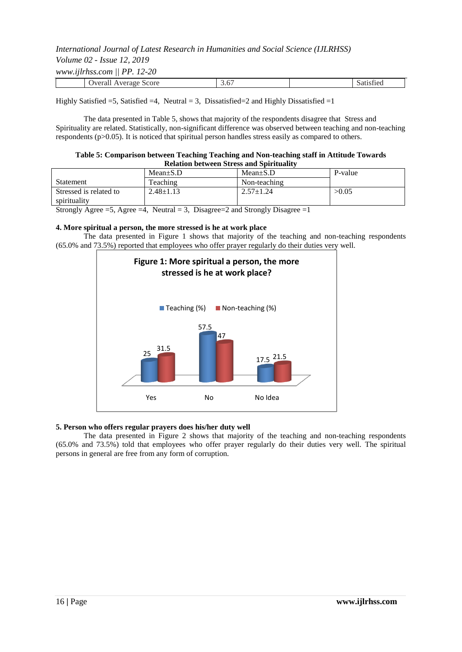| Volume 02 - Issue 12, 2019            |  |
|---------------------------------------|--|
| www.iilrhss.com $\parallel$ PP. 12-20 |  |

|  | Overall Average Score | --<br>J.U | $\sim$<br>Satisfied |  |
|--|-----------------------|-----------|---------------------|--|

Highly Satisfied  $=5$ , Satisfied  $=4$ , Neutral  $=3$ , Dissatisfied  $=2$  and Highly Dissatisfied  $=1$ 

The data presented in Table 5, shows that majority of the respondents disagree that Stress and Spirituality are related. Statistically, non-significant difference was observed between teaching and non-teaching respondents (p>0.05). It is noticed that spiritual person handles stress easily as compared to others.

#### **Table 5: Comparison between Teaching Teaching and Non-teaching staff in Attitude Towards Relation between Stress and Spirituality**

|                        | $Mean \pm S.D$ | $Mean \pm S.D$  | P-value |
|------------------------|----------------|-----------------|---------|
| Statement              | Teaching       | Non-teaching    |         |
| Stressed is related to | 2.48±1.13      | $2.57 \pm 1.24$ | >0.05   |
| spirituality           |                |                 |         |

Strongly Agree =5, Agree =4, Neutral = 3, Disagree = 2 and Strongly Disagree = 1

#### **4. More spiritual a person, the more stressed is he at work place**

The data presented in Figure 1 shows that majority of the teaching and non-teaching respondents (65.0% and 73.5%) reported that employees who offer prayer regularly do their duties very well.



## **5. Person who offers regular prayers does his/her duty well**

The data presented in Figure 2 shows that majority of the teaching and non-teaching respondents (65.0% and 73.5%) told that employees who offer prayer regularly do their duties very well. The spiritual persons in general are free from any form of corruption.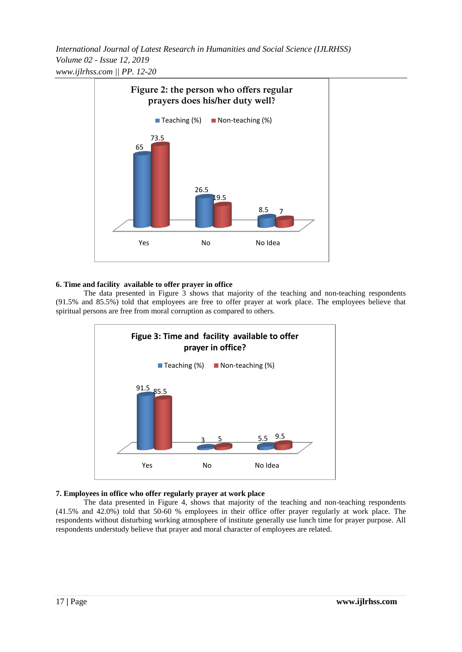*International Journal of Latest Research in Humanities and Social Science (IJLRHSS) Volume 02 - Issue 12, 2019 www.ijlrhss.com || PP. 12-20*



## **6. Time and facility available to offer prayer in office**

The data presented in Figure 3 shows that majority of the teaching and non-teaching respondents (91.5% and 85.5%) told that employees are free to offer prayer at work place. The employees believe that spiritual persons are free from moral corruption as compared to others.



## **7. Employees in office who offer regularly prayer at work place**

The data presented in Figure 4, shows that majority of the teaching and non-teaching respondents (41.5% and 42.0%) told that 50-60 % employees in their office offer prayer regularly at work place. The respondents without disturbing working atmosphere of institute generally use lunch time for prayer purpose. All respondents understudy believe that prayer and moral character of employees are related.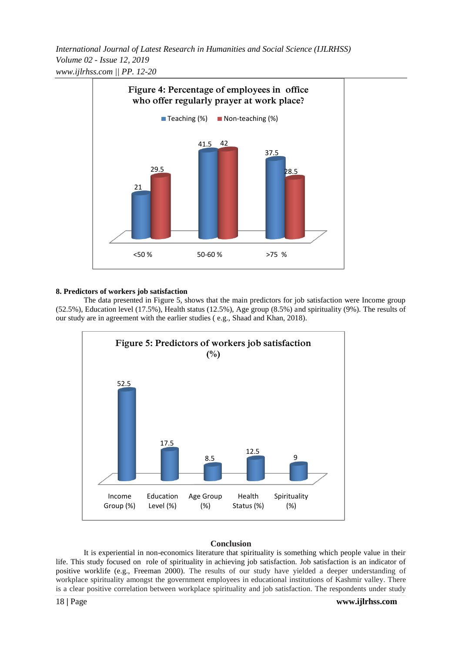*International Journal of Latest Research in Humanities and Social Science (IJLRHSS) Volume 02 - Issue 12, 2019 www.ijlrhss.com || PP. 12-20*



#### **8. Predictors of workers job satisfaction**

The data presented in Figure 5, shows that the main predictors for job satisfaction were Income group (52.5%), Education level (17.5%), Health status (12.5%), Age group (8.5%) and spirituality (9%). The results of our study are in agreement with the earlier studies ( e.g., Shaad and Khan, 2018).



## **Conclusion**

It is experiential in non-economics literature that spirituality is something which people value in their life. This study focused on role of spirituality in achieving job satisfaction. Job satisfaction is an indicator of positive worklife (e.g., Freeman 2000). The results of our study have yielded a deeper understanding of workplace spirituality amongst the government employees in educational institutions of Kashmir valley. There is a clear positive correlation between workplace spirituality and job satisfaction. The respondents under study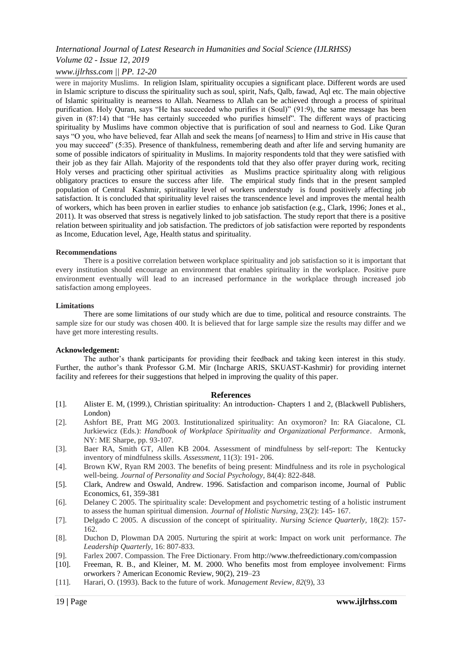## *Volume 02 - Issue 12, 2019*

## *www.ijlrhss.com || PP. 12-20*

were in majority Muslims. In religion Islam, spirituality occupies a significant place. Different words are used in Islamic scripture to discuss the spirituality such as soul, spirit, Nafs, Qalb, fawad, Aql etc. The main objective of Islamic spirituality is nearness to Allah. Nearness to Allah can be achieved through a process of spiritual purification. Holy Quran, says "He has succeeded who purifies it (Soul)" (91:9), the same message has been given in (87:14) that "He has certainly succeeded who purifies himself". The different ways of practicing spirituality by Muslims have common objective that is purification of soul and nearness to God. Like Quran says "O you, who have believed, fear Allah and seek the means [of nearness] to Him and strive in His cause that you may succeed" (5:35). Presence of thankfulness, remembering death and after life and serving humanity are some of possible indicators of spirituality in Muslims. In majority respondents told that they were satisfied with their job as they fair Allah. Majority of the respondents told that they also offer prayer during work, reciting Holy verses and practicing other spiritual activities as Muslims practice spirituality along with religious obligatory practices to ensure the success after life. The empirical study finds that in the present sampled population of Central Kashmir, spirituality level of workers understudy is found positively affecting job satisfaction. It is concluded that spirituality level raises the transcendence level and improves the mental health of workers, which has been proven in earlier studies to enhance job satisfaction (e.g., Clark, 1996; Jones et al., 2011). It was observed that stress is negatively linked to job satisfaction. The study report that there is a positive relation between spirituality and job satisfaction. The predictors of job satisfaction were reported by respondents as Income, Education level, Age, Health status and spirituality.

#### **Recommendations**

There is a positive correlation between workplace spirituality and job satisfaction so it is important that every institution should encourage an environment that enables spirituality in the workplace. Positive pure environment eventually will lead to an increased performance in the workplace through increased job satisfaction among employees.

#### **Limitations**

There are some limitations of our study which are due to time, political and resource constraints. The sample size for our study was chosen 400. It is believed that for large sample size the results may differ and we have get more interesting results.

#### **Acknowledgement:**

The author's thank participants for providing their feedback and taking keen interest in this study. Further, the author's thank Professor G.M. Mir (Incharge ARIS, SKUAST-Kashmir) for providing internet facility and referees for their suggestions that helped in improving the quality of this paper.

#### **References**

- [1]. Alister E. M, (1999.), Christian spirituality: An introduction- Chapters 1 and 2, (Blackwell Publishers, London)
- [2]. Ashfort BE, Pratt MG 2003. Institutionalized spirituality: An oxymoron? In: RA Giacalone, CL Jurkiewicz (Eds.): *Handbook of Workplace Spirituality and Organizational Performance*. Armonk, NY: ME Sharpe, pp. 93-107.
- [3]. Baer RA, Smith GT, Allen KB 2004. Assessment of mindfulness by self-report: The Kentucky inventory of mindfulness skills. *Assessment,* 11(3): 191- 206.
- [4]. Brown KW, Ryan RM 2003. The benefits of being present: Mindfulness and its role in psychological well-being. *Journal of Personality and Social Psychology,* 84(4): 822-848.
- [5]. Clark, Andrew and Oswald, Andrew. 1996. Satisfaction and comparison income, Journal of Public Economics, 61, 359-381
- [6]. Delaney C 2005. The spirituality scale: Development and psychometric testing of a holistic instrument to assess the human spiritual dimension. *Journal of Holistic Nursing,* 23(2): 145- 167.
- [7]. Delgado C 2005. A discussion of the concept of spirituality. *Nursing Science Quarterly,* 18(2): 157- 162.
- [8]. Duchon D, Plowman DA 2005. Nurturing the spirit at work: Impact on work unit performance. *The Leadership Quarterly,* 16: 807-833.
- [9]. Farlex 2007. Compassion. The Free Dictionary. From <http://www.thefreedictionary.com/compassion>
- [10]. Freeman, R. B., and Kleiner, M. M. 2000. Who benefits most from employee involvement: Firms orworkers ? American Economic Review, 90(2), 219–23
- [11]. Harari, O. (1993). Back to the future of work. *Management Review*, *82*(9), 33